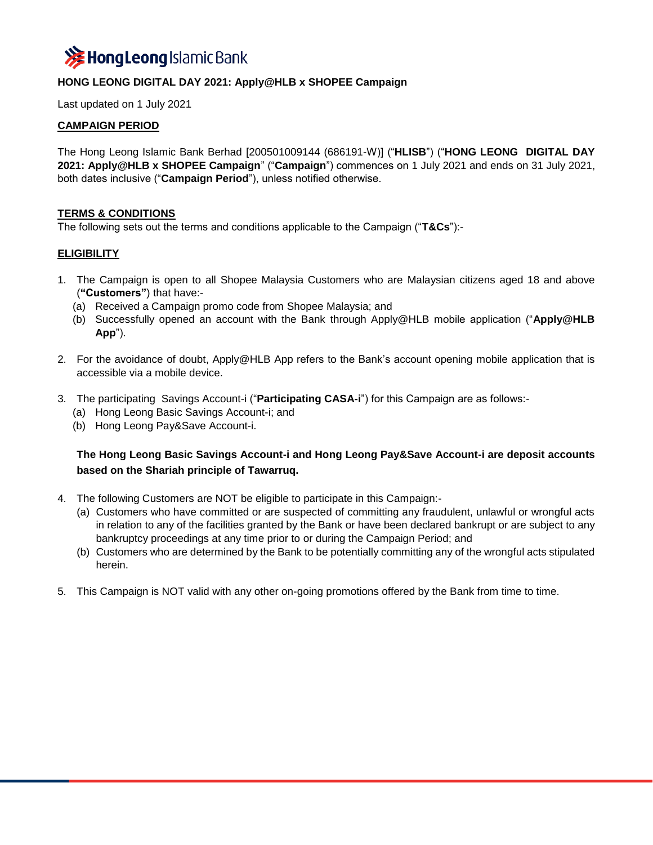

## **HONG LEONG DIGITAL DAY 2021: Apply@HLB x SHOPEE Campaign**

Last updated on 1 July 2021

### **CAMPAIGN PERIOD**

The Hong Leong Islamic Bank Berhad [200501009144 (686191-W)] ("**HLISB**") ("**HONG LEONG DIGITAL DAY 2021: Apply@HLB x SHOPEE Campaign**" ("**Campaign**") commences on 1 July 2021 and ends on 31 July 2021, both dates inclusive ("**Campaign Period**"), unless notified otherwise.

### **TERMS & CONDITIONS**

The following sets out the terms and conditions applicable to the Campaign ("**T&Cs**"):-

### **ELIGIBILITY**

- 1. The Campaign is open to all Shopee Malaysia Customers who are Malaysian citizens aged 18 and above (**"Customers"**) that have:-
	- (a) Received a Campaign promo code from Shopee Malaysia; and
	- (b) Successfully opened an account with the Bank through Apply@HLB mobile application ("**Apply@HLB App**").
- 2. For the avoidance of doubt, Apply@HLB App refers to the Bank's account opening mobile application that is accessible via a mobile device.
- 3. The participating Savings Account-i ("**Participating CASA-i**") for this Campaign are as follows:-
	- (a) Hong Leong Basic Savings Account-i; and
	- (b) Hong Leong Pay&Save Account-i.

# **The Hong Leong Basic Savings Account-i and Hong Leong Pay&Save Account-i are deposit accounts based on the Shariah principle of Tawarruq.**

- 4. The following Customers are NOT be eligible to participate in this Campaign:-
	- (a) Customers who have committed or are suspected of committing any fraudulent, unlawful or wrongful acts in relation to any of the facilities granted by the Bank or have been declared bankrupt or are subject to any bankruptcy proceedings at any time prior to or during the Campaign Period; and
	- (b) Customers who are determined by the Bank to be potentially committing any of the wrongful acts stipulated herein.
- 5. This Campaign is NOT valid with any other on-going promotions offered by the Bank from time to time.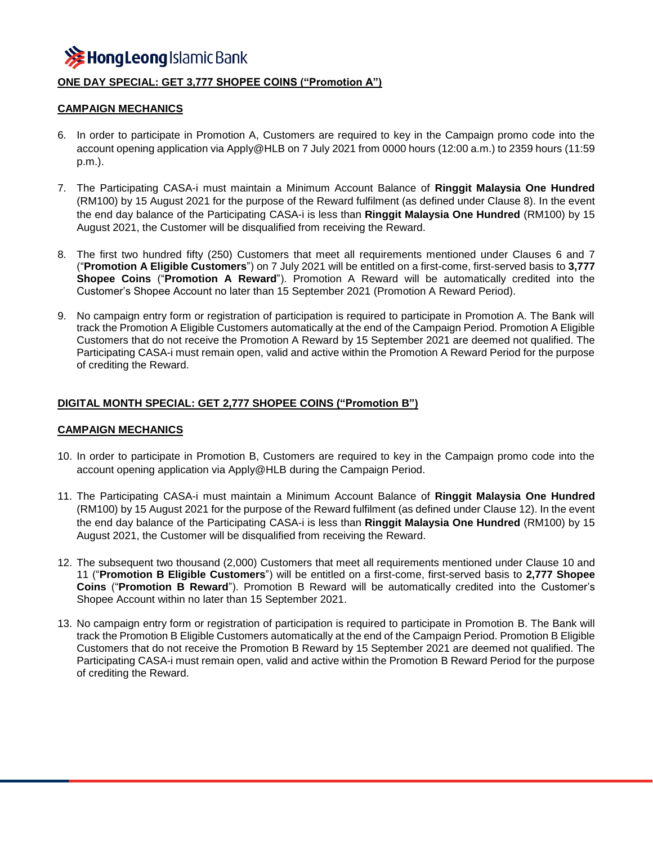

## **ONE DAY SPECIAL: GET 3,777 SHOPEE COINS ("Promotion A")**

### **CAMPAIGN MECHANICS**

- 6. In order to participate in Promotion A, Customers are required to key in the Campaign promo code into the account opening application via Apply@HLB on 7 July 2021 from 0000 hours (12:00 a.m.) to 2359 hours (11:59 p.m.).
- 7. The Participating CASA-i must maintain a Minimum Account Balance of **Ringgit Malaysia One Hundred** (RM100) by 15 August 2021 for the purpose of the Reward fulfilment (as defined under Clause 8). In the event the end day balance of the Participating CASA-i is less than **Ringgit Malaysia One Hundred** (RM100) by 15 August 2021, the Customer will be disqualified from receiving the Reward.
- 8. The first two hundred fifty (250) Customers that meet all requirements mentioned under Clauses 6 and 7 ("**Promotion A Eligible Customers**") on 7 July 2021 will be entitled on a first-come, first-served basis to **3,777 Shopee Coins** ("**Promotion A Reward**"). Promotion A Reward will be automatically credited into the Customer's Shopee Account no later than 15 September 2021 (Promotion A Reward Period).
- 9. No campaign entry form or registration of participation is required to participate in Promotion A. The Bank will track the Promotion A Eligible Customers automatically at the end of the Campaign Period. Promotion A Eligible Customers that do not receive the Promotion A Reward by 15 September 2021 are deemed not qualified. The Participating CASA-i must remain open, valid and active within the Promotion A Reward Period for the purpose of crediting the Reward.

### **DIGITAL MONTH SPECIAL: GET 2,777 SHOPEE COINS ("Promotion B")**

#### **CAMPAIGN MECHANICS**

- 10. In order to participate in Promotion B, Customers are required to key in the Campaign promo code into the account opening application via Apply@HLB during the Campaign Period.
- 11. The Participating CASA-i must maintain a Minimum Account Balance of **Ringgit Malaysia One Hundred** (RM100) by 15 August 2021 for the purpose of the Reward fulfilment (as defined under Clause 12). In the event the end day balance of the Participating CASA-i is less than **Ringgit Malaysia One Hundred** (RM100) by 15 August 2021, the Customer will be disqualified from receiving the Reward.
- 12. The subsequent two thousand (2,000) Customers that meet all requirements mentioned under Clause 10 and 11 ("**Promotion B Eligible Customers**") will be entitled on a first-come, first-served basis to **2,777 Shopee Coins** ("**Promotion B Reward**"). Promotion B Reward will be automatically credited into the Customer's Shopee Account within no later than 15 September 2021.
- 13. No campaign entry form or registration of participation is required to participate in Promotion B. The Bank will track the Promotion B Eligible Customers automatically at the end of the Campaign Period. Promotion B Eligible Customers that do not receive the Promotion B Reward by 15 September 2021 are deemed not qualified. The Participating CASA-i must remain open, valid and active within the Promotion B Reward Period for the purpose of crediting the Reward.